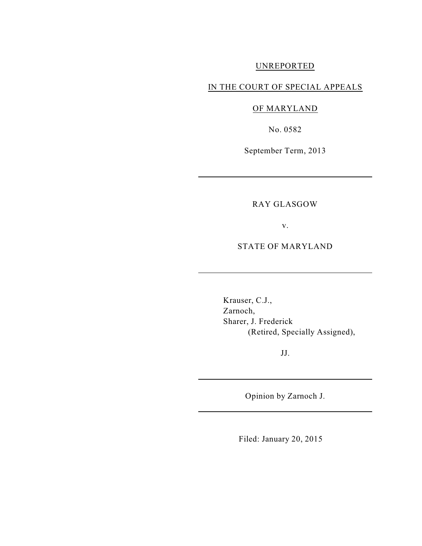### UNREPORTED

## IN THE COURT OF SPECIAL APPEALS

# OF MARYLAND

No. 0582

September Term, 2013

## RAY GLASGOW

v.

STATE OF MARYLAND

Krauser, C.J., Zarnoch, Sharer, J. Frederick (Retired, Specially Assigned),

JJ.

Opinion by Zarnoch J.

Filed: January 20, 2015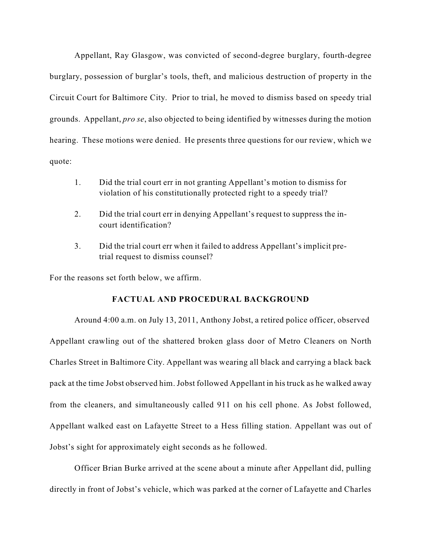Appellant, Ray Glasgow, was convicted of second-degree burglary, fourth-degree burglary, possession of burglar's tools, theft, and malicious destruction of property in the Circuit Court for Baltimore City. Prior to trial, he moved to dismiss based on speedy trial grounds. Appellant, *pro se*, also objected to being identified by witnesses during the motion hearing. These motions were denied. He presents three questions for our review, which we quote:

- 1. Did the trial court err in not granting Appellant's motion to dismiss for violation of his constitutionally protected right to a speedy trial?
- 2. Did the trial court err in denying Appellant's request to suppress the incourt identification?
- 3. Did the trial court err when it failed to address Appellant's implicit pretrial request to dismiss counsel?

For the reasons set forth below, we affirm.

## **FACTUAL AND PROCEDURAL BACKGROUND**

Around 4:00 a.m. on July 13, 2011, Anthony Jobst, a retired police officer, observed Appellant crawling out of the shattered broken glass door of Metro Cleaners on North Charles Street in Baltimore City. Appellant was wearing all black and carrying a black back pack at the time Jobst observed him. Jobst followed Appellant in his truck as he walked away from the cleaners, and simultaneously called 911 on his cell phone. As Jobst followed, Appellant walked east on Lafayette Street to a Hess filling station. Appellant was out of Jobst's sight for approximately eight seconds as he followed.

Officer Brian Burke arrived at the scene about a minute after Appellant did, pulling directly in front of Jobst's vehicle, which was parked at the corner of Lafayette and Charles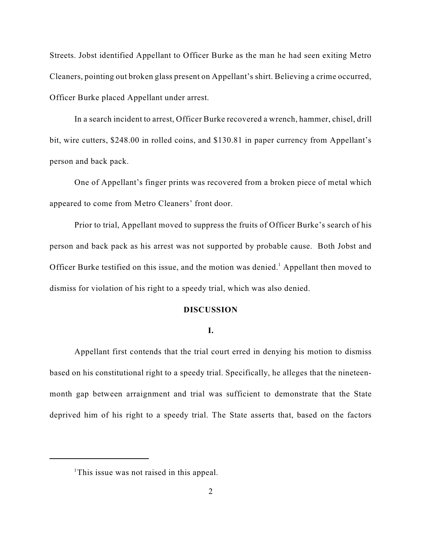Streets. Jobst identified Appellant to Officer Burke as the man he had seen exiting Metro Cleaners, pointing out broken glass present on Appellant's shirt. Believing a crime occurred, Officer Burke placed Appellant under arrest.

In a search incident to arrest, Officer Burke recovered a wrench, hammer, chisel, drill bit, wire cutters, \$248.00 in rolled coins, and \$130.81 in paper currency from Appellant's person and back pack.

One of Appellant's finger prints was recovered from a broken piece of metal which appeared to come from Metro Cleaners' front door.

Prior to trial, Appellant moved to suppress the fruits of Officer Burke's search of his person and back pack as his arrest was not supported by probable cause. Both Jobst and Officer Burke testified on this issue, and the motion was denied.<sup>1</sup> Appellant then moved to dismiss for violation of his right to a speedy trial, which was also denied.

#### **DISCUSSION**

#### **I.**

Appellant first contends that the trial court erred in denying his motion to dismiss based on his constitutional right to a speedy trial. Specifically, he alleges that the nineteenmonth gap between arraignment and trial was sufficient to demonstrate that the State deprived him of his right to a speedy trial. The State asserts that, based on the factors

<sup>&</sup>lt;sup>1</sup>This issue was not raised in this appeal.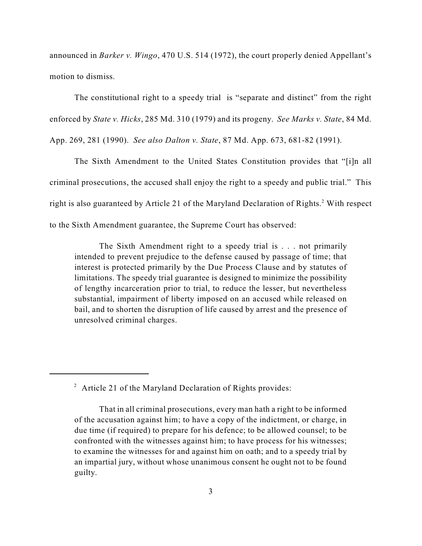announced in *Barker v. Wingo*, 470 U.S. 514 (1972), the court properly denied Appellant's motion to dismiss.

The constitutional right to a speedy trial is "separate and distinct" from the right enforced by *State v. Hicks*, 285 Md. 310 (1979) and its progeny. *See Marks v. State*, 84 Md. App. 269, 281 (1990). *See also Dalton v. State*, 87 Md. App. 673, 681-82 (1991).

The Sixth Amendment to the United States Constitution provides that "[i]n all criminal prosecutions, the accused shall enjoy the right to a speedy and public trial." This right is also guaranteed by Article 21 of the Maryland Declaration of Rights. $^2$  With respect to the Sixth Amendment guarantee, the Supreme Court has observed:

The Sixth Amendment right to a speedy trial is . . . not primarily intended to prevent prejudice to the defense caused by passage of time; that interest is protected primarily by the Due Process Clause and by statutes of limitations. The speedy trial guarantee is designed to minimize the possibility of lengthy incarceration prior to trial, to reduce the lesser, but nevertheless substantial, impairment of liberty imposed on an accused while released on bail, and to shorten the disruption of life caused by arrest and the presence of unresolved criminal charges.

 $2$  Article 21 of the Maryland Declaration of Rights provides:

That in all criminal prosecutions, every man hath a right to be informed of the accusation against him; to have a copy of the indictment, or charge, in due time (if required) to prepare for his defence; to be allowed counsel; to be confronted with the witnesses against him; to have process for his witnesses; to examine the witnesses for and against him on oath; and to a speedy trial by an impartial jury, without whose unanimous consent he ought not to be found guilty.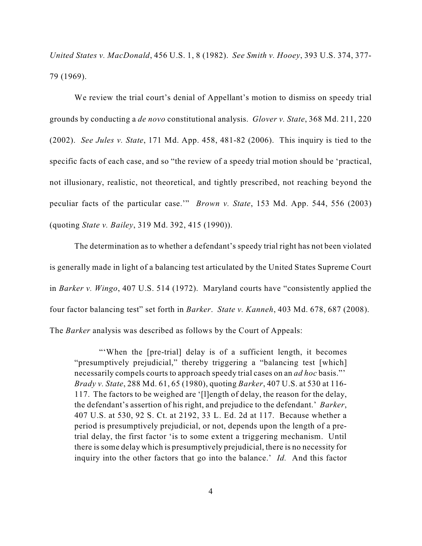*United States v. MacDonald*, 456 U.S. 1, 8 (1982). *See Smith v. Hooey*, 393 U.S. 374, 377- 79 (1969).

We review the trial court's denial of Appellant's motion to dismiss on speedy trial grounds by conducting a *de novo* constitutional analysis. *Glover v. State*, 368 Md. 211, 220 (2002). *See Jules v. State*, 171 Md. App. 458, 481-82 (2006). This inquiry is tied to the specific facts of each case, and so "the review of a speedy trial motion should be 'practical, not illusionary, realistic, not theoretical, and tightly prescribed, not reaching beyond the peculiar facts of the particular case.'" *Brown v. State*, 153 Md. App. 544, 556 (2003) (quoting *State v. Bailey*, 319 Md. 392, 415 (1990)).

The determination as to whether a defendant's speedy trial right has not been violated is generally made in light of a balancing test articulated by the United States Supreme Court in *Barker v. Wingo*, 407 U.S. 514 (1972). Maryland courts have "consistently applied the four factor balancing test" set forth in *Barker*. *State v. Kanneh*, 403 Md. 678, 687 (2008). The *Barker* analysis was described as follows by the Court of Appeals:

"'When the [pre-trial] delay is of a sufficient length, it becomes "presumptively prejudicial," thereby triggering a "balancing test [which] necessarily compels courts to approach speedy trial cases on an *ad hoc* basis."' *Brady v. State*, 288 Md. 61, 65 (1980), quoting *Barker*, 407 U.S. at 530 at 116- 117. The factors to be weighed are '[l]ength of delay, the reason for the delay, the defendant's assertion of his right, and prejudice to the defendant.' *Barker*, 407 U.S. at 530, 92 S. Ct. at 2192, 33 L. Ed. 2d at 117. Because whether a period is presumptively prejudicial, or not, depends upon the length of a pretrial delay, the first factor 'is to some extent a triggering mechanism. Until there is some delay which is presumptively prejudicial, there is no necessity for inquiry into the other factors that go into the balance.' *Id.* And this factor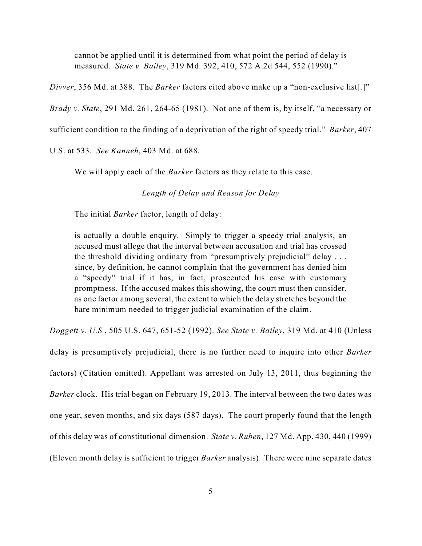cannot be applied until it is determined from what point the period of delay is measured. *State v. Bailey*, 319 Md. 392, 410, 572 A.2d 544, 552 (1990)."

*Divver*, 356 Md. at 388. The *Barker* factors cited above make up a "non-exclusive list[.]"

*Brady v. State*, 291 Md. 261, 264-65 (1981). Not one of them is, by itself, "a necessary or

sufficient condition to the finding of a deprivation of the right of speedy trial." *Barker*, 407

U.S. at 533. *See Kanneh*, 403 Md. at 688.

We will apply each of the *Barker* factors as they relate to this case.

*Length of Delay and Reason for Delay*

The initial *Barker* factor, length of delay:

is actually a double enquiry. Simply to trigger a speedy trial analysis, an accused must allege that the interval between accusation and trial has crossed the threshold dividing ordinary from "presumptively prejudicial" delay . . . since, by definition, he cannot complain that the government has denied him a "speedy" trial if it has, in fact, prosecuted his case with customary promptness. If the accused makes this showing, the court must then consider, as one factor among several, the extent to which the delay stretches beyond the bare minimum needed to trigger judicial examination of the claim.

*Doggett v. U.S.*, 505 U.S. 647, 651-52 (1992). *See State v. Bailey*, 319 Md. at 410 (Unless

delay is presumptively prejudicial, there is no further need to inquire into other *Barker* factors) (Citation omitted). Appellant was arrested on July 13, 2011, thus beginning the *Barker* clock. His trial began on February 19, 2013. The interval between the two dates was one year, seven months, and six days (587 days). The court properly found that the length of this delay was of constitutional dimension. *State v. Ruben*, 127 Md. App. 430, 440 (1999) (Eleven month delay is sufficient to trigger *Barker* analysis). There were nine separate dates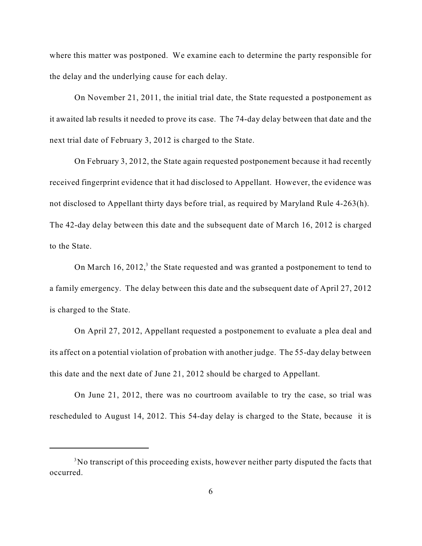where this matter was postponed. We examine each to determine the party responsible for the delay and the underlying cause for each delay.

On November 21, 2011, the initial trial date, the State requested a postponement as it awaited lab results it needed to prove its case. The 74-day delay between that date and the next trial date of February 3, 2012 is charged to the State.

On February 3, 2012, the State again requested postponement because it had recently received fingerprint evidence that it had disclosed to Appellant. However, the evidence was not disclosed to Appellant thirty days before trial, as required by Maryland Rule 4-263(h). The 42-day delay between this date and the subsequent date of March 16, 2012 is charged to the State.

On March  $16$ ,  $2012$ ,<sup>3</sup> the State requested and was granted a postponement to tend to a family emergency. The delay between this date and the subsequent date of April 27, 2012 is charged to the State.

On April 27, 2012, Appellant requested a postponement to evaluate a plea deal and its affect on a potential violation of probation with another judge. The 55-day delay between this date and the next date of June 21, 2012 should be charged to Appellant.

On June 21, 2012, there was no courtroom available to try the case, so trial was rescheduled to August 14, 2012. This 54-day delay is charged to the State, because it is

 $3$ No transcript of this proceeding exists, however neither party disputed the facts that occurred.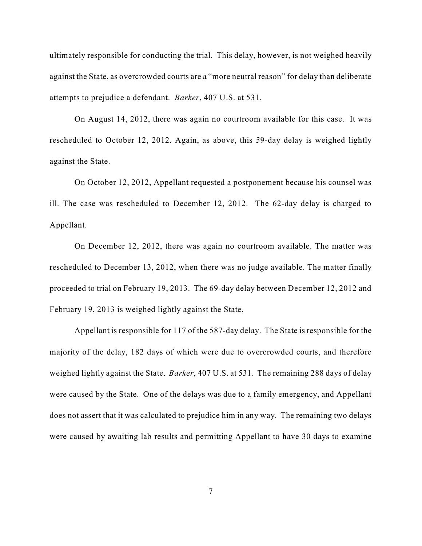ultimately responsible for conducting the trial. This delay, however, is not weighed heavily against the State, as overcrowded courts are a "more neutral reason" for delay than deliberate attempts to prejudice a defendant. *Barker*, 407 U.S. at 531.

On August 14, 2012, there was again no courtroom available for this case. It was rescheduled to October 12, 2012. Again, as above, this 59-day delay is weighed lightly against the State.

On October 12, 2012, Appellant requested a postponement because his counsel was ill. The case was rescheduled to December 12, 2012. The 62-day delay is charged to Appellant.

On December 12, 2012, there was again no courtroom available. The matter was rescheduled to December 13, 2012, when there was no judge available. The matter finally proceeded to trial on February 19, 2013. The 69-day delay between December 12, 2012 and February 19, 2013 is weighed lightly against the State.

Appellant is responsible for 117 of the 587-day delay. The State is responsible for the majority of the delay, 182 days of which were due to overcrowded courts, and therefore weighed lightly against the State. *Barker*, 407 U.S. at 531. The remaining 288 days of delay were caused by the State. One of the delays was due to a family emergency, and Appellant does not assert that it was calculated to prejudice him in any way. The remaining two delays were caused by awaiting lab results and permitting Appellant to have 30 days to examine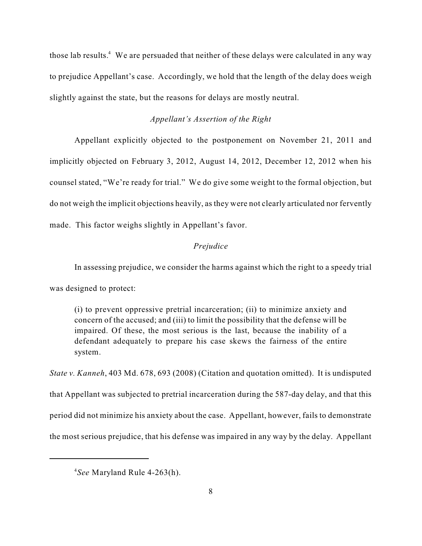those lab results.<sup>4</sup> We are persuaded that neither of these delays were calculated in any way to prejudice Appellant's case. Accordingly, we hold that the length of the delay does weigh slightly against the state, but the reasons for delays are mostly neutral.

#### *Appellant's Assertion of the Right*

Appellant explicitly objected to the postponement on November 21, 2011 and implicitly objected on February 3, 2012, August 14, 2012, December 12, 2012 when his counsel stated, "We're ready for trial." We do give some weight to the formal objection, but do not weigh the implicit objections heavily, as they were not clearly articulated nor fervently made. This factor weighs slightly in Appellant's favor.

#### *Prejudice*

In assessing prejudice, we consider the harms against which the right to a speedy trial

was designed to protect:

(i) to prevent oppressive pretrial incarceration; (ii) to minimize anxiety and concern of the accused; and (iii) to limit the possibility that the defense will be impaired. Of these, the most serious is the last, because the inability of a defendant adequately to prepare his case skews the fairness of the entire system.

*State v. Kanneh*, 403 Md. 678, 693 (2008) (Citation and quotation omitted). It is undisputed that Appellant was subjected to pretrial incarceration during the 587-day delay, and that this period did not minimize his anxiety about the case. Appellant, however, fails to demonstrate the most serious prejudice, that his defense was impaired in any way by the delay. Appellant

<sup>&</sup>lt;sup>4</sup>See Maryland Rule 4-263(h).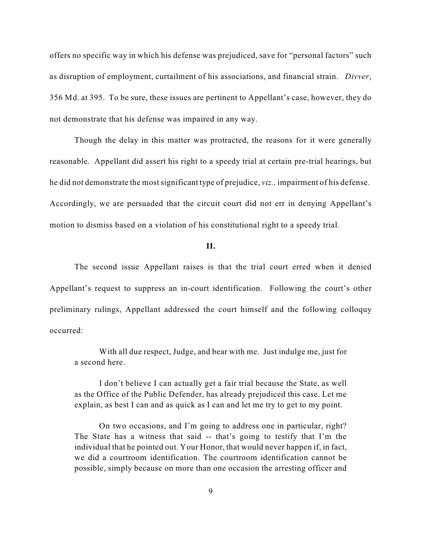offers no specific way in which his defense was prejudiced, save for "personal factors" such as disruption of employment, curtailment of his associations, and financial strain. *Divver*, 356 Md. at 395. To be sure, these issues are pertinent to Appellant's case, however, they do not demonstrate that his defense was impaired in any way.

Though the delay in this matter was protracted, the reasons for it were generally reasonable. Appellant did assert his right to a speedy trial at certain pre-trial hearings, but he did not demonstrate the mostsignificant type of prejudice, *viz.,* impairment of his defense. Accordingly, we are persuaded that the circuit court did not err in denying Appellant's motion to dismiss based on a violation of his constitutional right to a speedy trial.

**II.**

The second issue Appellant raises is that the trial court erred when it denied Appellant's request to suppress an in-court identification. Following the court's other preliminary rulings, Appellant addressed the court himself and the following colloquy occurred:

With all due respect, Judge, and bear with me. Just indulge me, just for a second here.

I don't believe I can actually get a fair trial because the State, as well as the Office of the Public Defender, has already prejudiced this case. Let me explain, as best I can and as quick as I can and let me try to get to my point.

On two occasions, and I'm going to address one in particular, right? The State has a witness that said -- that's going to testify that I'm the individual that he pointed out. Your Honor, that would never happen if, in fact, we did a courtroom identification. The courtroom identification cannot be possible, simply because on more than one occasion the arresting officer and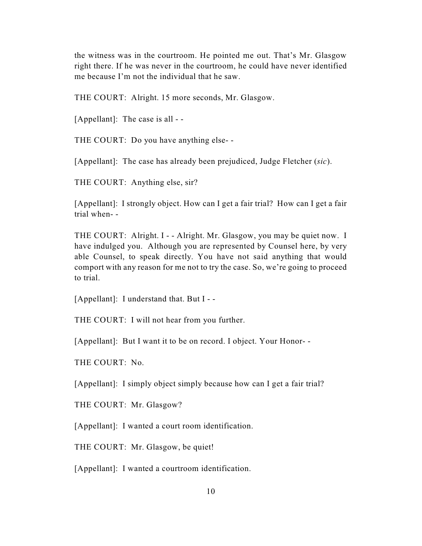the witness was in the courtroom. He pointed me out. That's Mr. Glasgow right there. If he was never in the courtroom, he could have never identified me because I'm not the individual that he saw.

THE COURT: Alright. 15 more seconds, Mr. Glasgow.

[Appellant]: The case is all - -

THE COURT: Do you have anything else- -

[Appellant]: The case has already been prejudiced, Judge Fletcher (*sic*).

THE COURT: Anything else, sir?

[Appellant]: I strongly object. How can I get a fair trial? How can I get a fair trial when- -

THE COURT: Alright. I - - Alright. Mr. Glasgow, you may be quiet now. I have indulged you. Although you are represented by Counsel here, by very able Counsel, to speak directly. You have not said anything that would comport with any reason for me not to try the case. So, we're going to proceed to trial.

[Appellant]: I understand that. But I - -

THE COURT: I will not hear from you further.

[Appellant]: But I want it to be on record. I object. Your Honor-

THE COURT: No.

[Appellant]: I simply object simply because how can I get a fair trial?

THE COURT: Mr. Glasgow?

[Appellant]: I wanted a court room identification.

THE COURT: Mr. Glasgow, be quiet!

[Appellant]: I wanted a courtroom identification.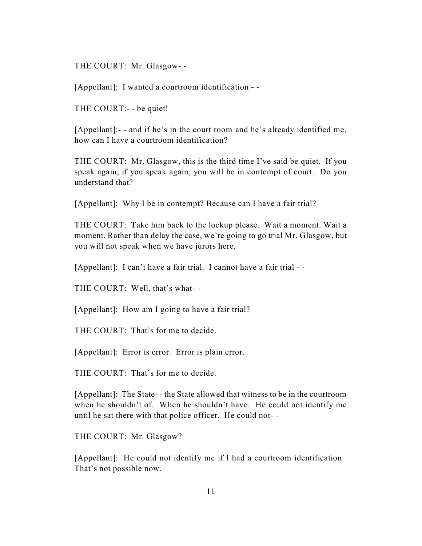THE COURT: Mr. Glasgow- -

[Appellant]: I wanted a courtroom identification - -

THE COURT:- - be quiet!

[Appellant]:- - and if he's in the court room and he's already identified me, how can I have a courtroom identification?

THE COURT: Mr. Glasgow, this is the third time I've said be quiet. If you speak again, if you speak again, you will be in contempt of court. Do you understand that?

[Appellant]: Why I be in contempt? Because can I have a fair trial?

THE COURT: Take him back to the lockup please. Wait a moment. Wait a moment. Rather than delay the case, we're going to go trial Mr. Glasgow, but you will not speak when we have jurors here.

[Appellant]: I can't have a fair trial. I cannot have a fair trial - -

THE COURT: Well, that's what- -

[Appellant]: How am I going to have a fair trial?

THE COURT: That's for me to decide.

[Appellant]: Error is error. Error is plain error.

THE COURT: That's for me to decide.

[Appellant]: The State- - the State allowed that witness to be in the courtroom when he shouldn't of. When he shouldn't have. He could not identify me until he sat there with that police officer. He could not- -

THE COURT: Mr. Glasgow?

[Appellant]: He could not identify me if I had a courtroom identification. That's not possible now.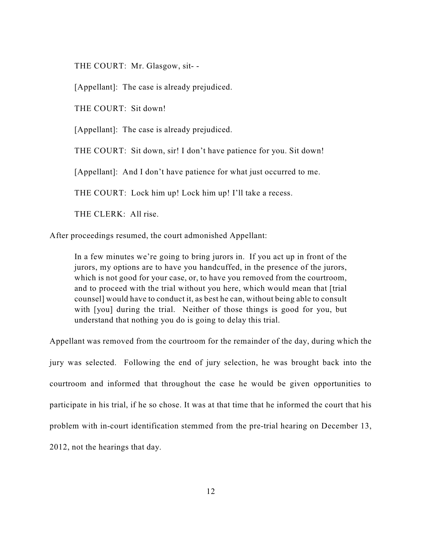THE COURT: Mr. Glasgow, sit- -

[Appellant]: The case is already prejudiced.

THE COURT: Sit down!

[Appellant]: The case is already prejudiced.

THE COURT: Sit down, sir! I don't have patience for you. Sit down!

[Appellant]: And I don't have patience for what just occurred to me.

THE COURT: Lock him up! Lock him up! I'll take a recess.

THE CLERK: All rise.

After proceedings resumed, the court admonished Appellant:

In a few minutes we're going to bring jurors in. If you act up in front of the jurors, my options are to have you handcuffed, in the presence of the jurors, which is not good for your case, or, to have you removed from the courtroom, and to proceed with the trial without you here, which would mean that [trial counsel] would have to conduct it, as best he can, without being able to consult with [you] during the trial. Neither of those things is good for you, but understand that nothing you do is going to delay this trial.

Appellant was removed from the courtroom for the remainder of the day, during which the jury was selected. Following the end of jury selection, he was brought back into the courtroom and informed that throughout the case he would be given opportunities to participate in his trial, if he so chose. It was at that time that he informed the court that his problem with in-court identification stemmed from the pre-trial hearing on December 13, 2012, not the hearings that day.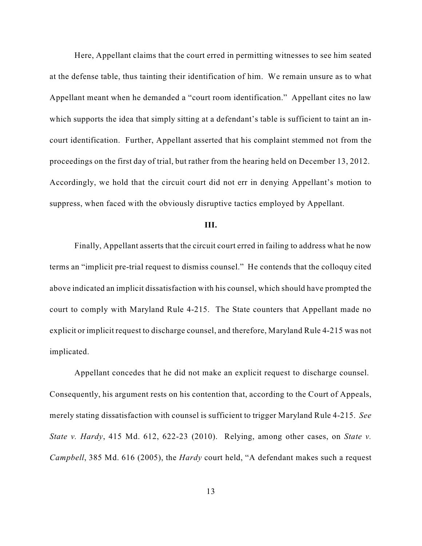Here, Appellant claims that the court erred in permitting witnesses to see him seated at the defense table, thus tainting their identification of him. We remain unsure as to what Appellant meant when he demanded a "court room identification." Appellant cites no law which supports the idea that simply sitting at a defendant's table is sufficient to taint an incourt identification. Further, Appellant asserted that his complaint stemmed not from the proceedings on the first day of trial, but rather from the hearing held on December 13, 2012. Accordingly, we hold that the circuit court did not err in denying Appellant's motion to suppress, when faced with the obviously disruptive tactics employed by Appellant.

#### **III.**

Finally, Appellant asserts that the circuit court erred in failing to address what he now terms an "implicit pre-trial request to dismiss counsel." He contends that the colloquy cited above indicated an implicit dissatisfaction with his counsel, which should have prompted the court to comply with Maryland Rule 4-215. The State counters that Appellant made no explicit or implicit request to discharge counsel, and therefore, Maryland Rule 4-215 was not implicated.

Appellant concedes that he did not make an explicit request to discharge counsel. Consequently, his argument rests on his contention that, according to the Court of Appeals, merely stating dissatisfaction with counsel is sufficient to trigger Maryland Rule 4-215. *See State v. Hardy*, 415 Md. 612, 622-23 (2010). Relying, among other cases, on *State v. Campbell*, 385 Md. 616 (2005), the *Hardy* court held, "A defendant makes such a request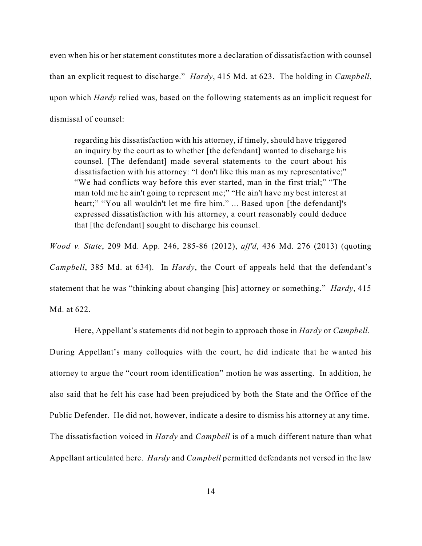even when his or her statement constitutes more a declaration of dissatisfaction with counsel than an explicit request to discharge." *Hardy*, 415 Md. at 623. The holding in *Campbell*, upon which *Hardy* relied was, based on the following statements as an implicit request for dismissal of counsel:

regarding his dissatisfaction with his attorney, if timely, should have triggered an inquiry by the court as to whether [the defendant] wanted to discharge his counsel. [The defendant] made several statements to the court about his dissatisfaction with his attorney: "I don't like this man as my representative;" "We had conflicts way before this ever started, man in the first trial;" "The man told me he ain't going to represent me;" "He ain't have my best interest at heart;" "You all wouldn't let me fire him." ... Based upon [the defendant]'s expressed dissatisfaction with his attorney, a court reasonably could deduce that [the defendant] sought to discharge his counsel.

*Wood v. State*, 209 Md. App. 246, 285-86 (2012), *aff'd*, 436 Md. 276 (2013) (quoting *Campbell*, 385 Md. at 634). In *Hardy*, the Court of appeals held that the defendant's statement that he was "thinking about changing [his] attorney or something." *Hardy*, 415 Md. at 622.

Here, Appellant's statements did not begin to approach those in *Hardy* or *Campbell*. During Appellant's many colloquies with the court, he did indicate that he wanted his attorney to argue the "court room identification" motion he was asserting. In addition, he also said that he felt his case had been prejudiced by both the State and the Office of the Public Defender. He did not, however, indicate a desire to dismiss his attorney at any time. The dissatisfaction voiced in *Hardy* and *Campbell* is of a much different nature than what Appellant articulated here. *Hardy* and *Campbell* permitted defendants not versed in the law